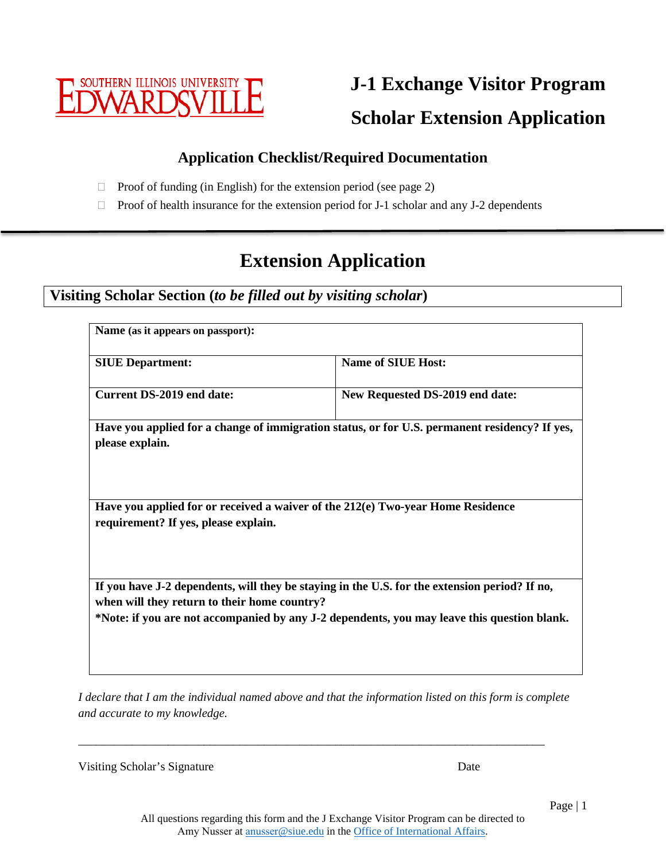

**J-1 Exchange Visitor Program Scholar Extension Application**

## **Application Checklist/Required Documentation**

- $\Box$  Proof of funding (in English) for the extension period (see page 2)
- $\Box$  Proof of health insurance for the extension period for J-1 scholar and any J-2 dependents

# **Extension Application**

**Visiting Scholar Section (***to be filled out by visiting scholar***)**

| Name (as it appears on passport):            |                                                                                                                                                                                              |
|----------------------------------------------|----------------------------------------------------------------------------------------------------------------------------------------------------------------------------------------------|
| <b>SIUE Department:</b>                      | <b>Name of SIUE Host:</b>                                                                                                                                                                    |
| <b>Current DS-2019 end date:</b>             | New Requested DS-2019 end date:                                                                                                                                                              |
| please explain.                              | Have you applied for a change of immigration status, or for U.S. permanent residency? If yes,                                                                                                |
| requirement? If yes, please explain.         | Have you applied for or received a waiver of the $212(e)$ Two-year Home Residence                                                                                                            |
| when will they return to their home country? | If you have J-2 dependents, will they be staying in the U.S. for the extension period? If no,<br>*Note: if you are not accompanied by any J-2 dependents, you may leave this question blank. |

*I declare that I am the individual named above and that the information listed on this form is complete and accurate to my knowledge.* 

\_\_\_\_\_\_\_\_\_\_\_\_\_\_\_\_\_\_\_\_\_\_\_\_\_\_\_\_\_\_\_\_\_\_\_\_\_\_\_\_\_\_\_\_\_\_\_\_\_\_\_\_\_\_\_\_\_\_\_\_\_\_\_\_\_\_\_\_\_\_\_\_\_\_\_\_\_\_

Visiting Scholar's Signature Date